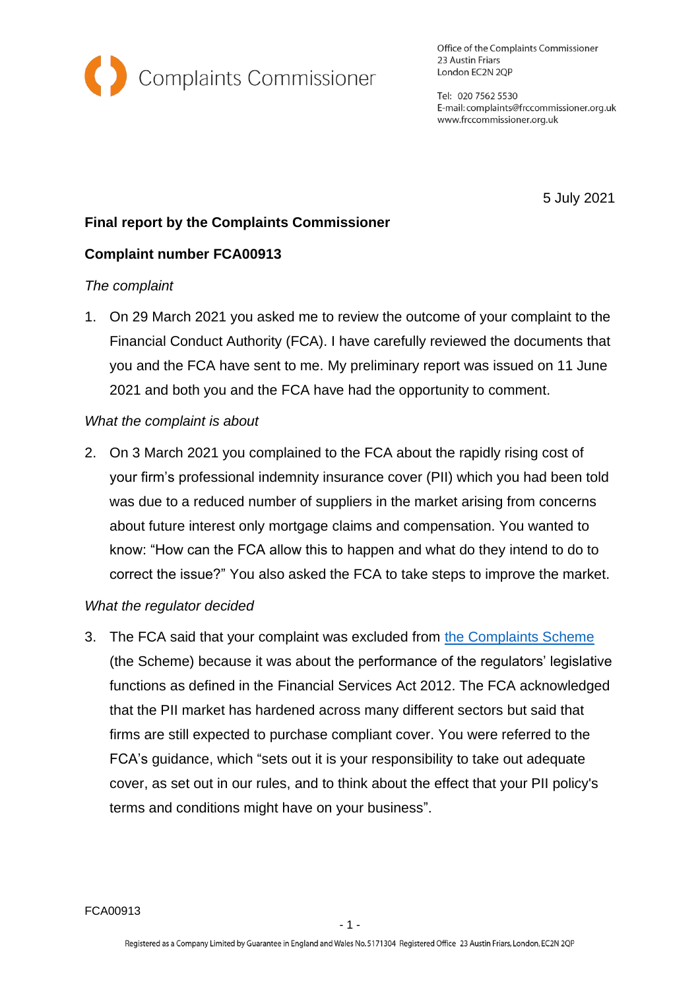

Office of the Complaints Commissioner 23 Austin Friars London EC2N 2QP

Tel: 020 7562 5530 E-mail: complaints@frccommissioner.org.uk www.frccommissioner.org.uk

5 July 2021

# **Final report by the Complaints Commissioner**

## **Complaint number FCA00913**

#### *The complaint*

1. On 29 March 2021 you asked me to review the outcome of your complaint to the Financial Conduct Authority (FCA). I have carefully reviewed the documents that you and the FCA have sent to me. My preliminary report was issued on 11 June 2021 and both you and the FCA have had the opportunity to comment.

### *What the complaint is about*

2. On 3 March 2021 you complained to the FCA about the rapidly rising cost of your firm's professional indemnity insurance cover (PII) which you had been told was due to a reduced number of suppliers in the market arising from concerns about future interest only mortgage claims and compensation. You wanted to know: "How can the FCA allow this to happen and what do they intend to do to correct the issue?" You also asked the FCA to take steps to improve the market.

## *What the regulator decided*

3. The FCA said that your complaint was excluded from [the Complaints Scheme](https://frccommissioner.org.uk/complaints-scheme/) (the Scheme) because it was about the performance of the regulators' legislative functions as defined in the Financial Services Act 2012. The FCA acknowledged that the PII market has hardened across many different sectors but said that firms are still expected to purchase compliant cover. You were referred to the FCA's guidance, which "sets out it is your responsibility to take out adequate cover, as set out in our rules, and to think about the effect that your PII policy's terms and conditions might have on your business".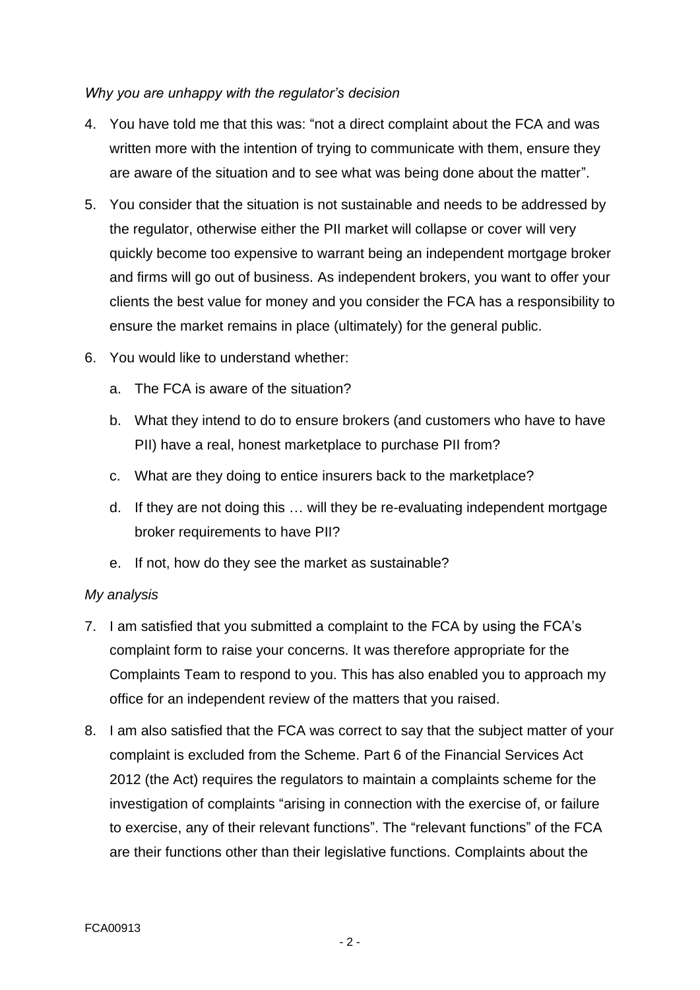### *Why you are unhappy with the regulator's decision*

- 4. You have told me that this was: "not a direct complaint about the FCA and was written more with the intention of trying to communicate with them, ensure they are aware of the situation and to see what was being done about the matter".
- 5. You consider that the situation is not sustainable and needs to be addressed by the regulator, otherwise either the PII market will collapse or cover will very quickly become too expensive to warrant being an independent mortgage broker and firms will go out of business. As independent brokers, you want to offer your clients the best value for money and you consider the FCA has a responsibility to ensure the market remains in place (ultimately) for the general public.
- 6. You would like to understand whether:
	- a. The FCA is aware of the situation?
	- b. What they intend to do to ensure brokers (and customers who have to have PII) have a real, honest marketplace to purchase PII from?
	- c. What are they doing to entice insurers back to the marketplace?
	- d. If they are not doing this … will they be re-evaluating independent mortgage broker requirements to have PII?
	- e. If not, how do they see the market as sustainable?

## *My analysis*

- 7. I am satisfied that you submitted a complaint to the FCA by using the FCA's complaint form to raise your concerns. It was therefore appropriate for the Complaints Team to respond to you. This has also enabled you to approach my office for an independent review of the matters that you raised.
- 8. I am also satisfied that the FCA was correct to say that the subject matter of your complaint is excluded from the Scheme. Part 6 of the Financial Services Act 2012 (the Act) requires the regulators to maintain a complaints scheme for the investigation of complaints "arising in connection with the exercise of, or failure to exercise, any of their relevant functions". The "relevant functions" of the FCA are their functions other than their legislative functions. Complaints about the